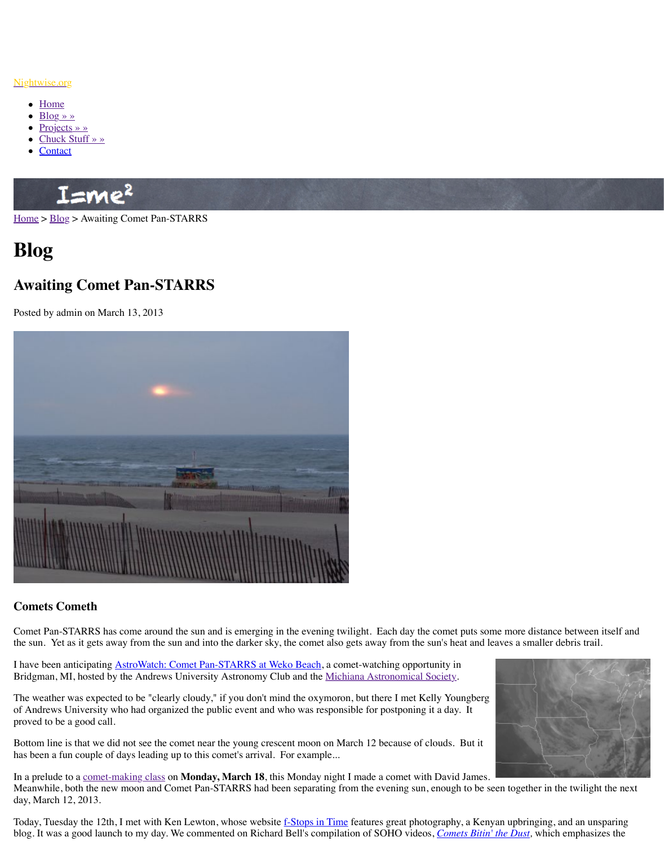

## **Comets Cometh**

Comet Pan-STARRS has come around the sun and is emerging in the evening twilight. Eacl the sun. Yet as it gets away from the sun and into the darker sky, the comet also gets away from the sun and leaves a smaller debris trail.

I have been anticipating **AstroWatch: Comet Pan-STARRS at Weko Beach**, a comet-watchin [Bridgman, MI, hosted by the Andrews University Astronomy Club and the Michi](http://www.nightwise.org/files/5313/6315/8137/comet04268.JPG)ana Astron

The weather was expected to be "clearly cloudy," if you don't mind the oxymoron, but there of Andrews University who had organized the public event and who was responsible for pos proved to be a good call.

Bottom line is that we did not see the comet near the young crescent moon on March 12 because of clouds. But it has been a fun couple of days leading up to this comet's arrival. For example...

In a prelude to a comet-making class on **Monday, March 18**, this Monday night I made a comet-Meanwhile, both the new moon and Comet Pan-STARRS had been separating from the even day, March 12, 2013.

Today, Tuesday the 12th, I met with Ken Lewton, whose website f-Stops in Time features gr blog. It was a good launch to my day. We commented on Richard Bell's compilation of SOH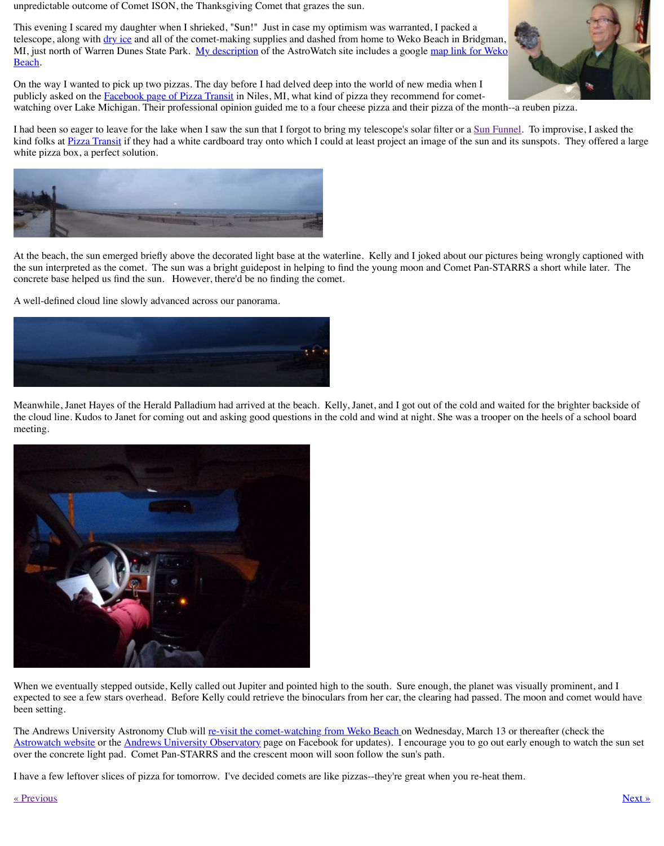

Meanwhile, Janet Hayes of the Herald Palladium had arrived at the beach. Kelly, Janet, and the cloud line. Kudos to Janet for coming out and asking good questions in the cold and wind meeting.



[When we eventually stepped outside, Kelly called out Jupiter and pointed hig](http://www.nightwise.org/files/8313/6315/6053/comet04272.JPG)h to the south. expected to see a few stars overhead. Before Kelly could retrieve the binoculars from her ca been setting.

The Andrews University Astronomy Club will re-visit the comet-watching from Weko Beach Astrowatch website or the Andrews University Observatory page on Facebook for updates). over the concrete light pad. Comet Pan-STARRS and the crescent moon will soon follow th

I have a few leftover slices of pizza for tomorrow. I've decided comets are like pizzas--they'

## « Previous » Next » Next » Next » Next » Next » Next » Next » Next » Next » Next » Next » Next » Next » Next » Next » Next » Next » Next » Next » Next » Next » Next » Next » Next » Next » Next » Next » Next » Next » Next »